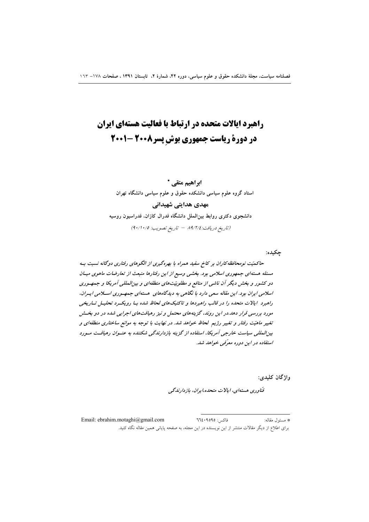# راهبرد ایالات متحده در ارتباط با فعالیت هستهای ایران در دورة رياست جمهوري بوش پسر2008 -1001

ابراهيم متقي \* استاد گروه علوم سیاسی دانشکده حقوق و علوم سیاسی دانشگاه تهران مهدی هدایتی شهیدانی دانشجوی دکتری روابط بین|لملل دانشگاه فدرال کازان، فدراسیون روسیه (تاريخ دريافت: ١٩/٢/٤ - تاريخ تصويب: ١٠/٥/٩٠/١)

چکیده:

حاکمیّت نومحافظه کاران بر کاخ سفید همراه با بهرهگیری از الگوهای رفتاری دوگانه نسبت به مسئله هستهای جمهوری اسلامی بود. بخشی وسیع از این رفتارها منبعث از تعارضات ماهوی میـان دو کشور و بخش دیگر آن ناشی از منافع و مطلوبیّتهای منطقهای و بینالمللی آمریکا و جمهوری اسلامی ایران بود. این مقاله سعی دارد با نگاهی به دیدگاههای هستهای جمهوری اسلامی ایران، راهبرد ایالات متحده را در قالب راهبردها و تاکتیکهای لحاظ شده با رویک رد تحلیل تاریخی مورد بررسی قرار دهد.در این روند، گزینههای محتمل و نیز رهپافتهای اجرایی شده در دو بخش تغییر ماهیّت رفتار و تغییر رژیم کحاظ خواهد شد. در نهایت با توجه به موانع ساختاری منطقهای و بینالمللی سیاست خارجی آمریکا، استفاده از گزینه بازدارندگی شکننده به عنـوان رهیافــت مـورد استفاده در این دوره معرّفی خواهد شد.

واژگان کليدي:

فتاوری هستهای، ایالات متحده،ایران، بازدارندگی

Email: ebrahim.motaghi@gmail.com فاكس: ٩٥٩٥: ٦٦٤ \* مسئول مقاله: برای اطلاع از دیگر مقالات منتشر از این نویسنده در این مجله، به صفحه پایانی همین مقاله نگاه کنید.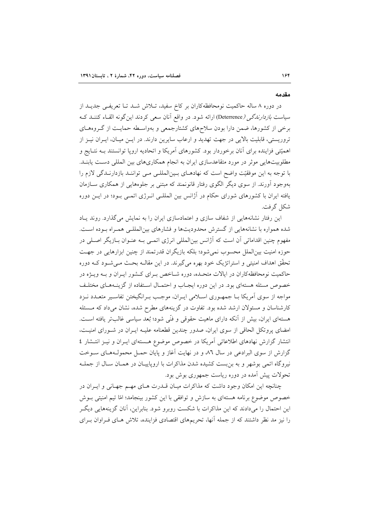#### مقدمه

در دوره ۸ ساله حاکمیت نومحافظهکاران بر کاخ سفید، تـلاش شـد تـا تعریفـی جدیــد از سیاست *بازدارندگی (*Deterrence) ارائه شود. در واقع آنان سعی کردند اینگونه القـاء کننــد کــه برخی از کشورها، ضمن دارا بودن سلاحهای کشتارجمعی و بهواسطه حمایت از گروههای تروریستی، قابلیت بالایی در جهت تهدید و ارعاب سایرین دارند. در ایــن میــان، ایــران نیــز از اهمیّتی فزاینده برای آنان برخوردار بود. کشورهای آمریکا و اتحادیه اروپا توانستند بـه نتـایج و مطلوبیتهایی موثر در مورد متقاعدسازی ایران به انجام همکاریهای بین المللی دست یابنـد. با توجه به این موفقیّت واضح است که نهادهـای بـینالمللـی مـی تواننـد بازدارنـدگی لازم را بهوجود آورند. از سوی دیگر الگوی رفتار قانونمند که مبتنی بر جلوههایی از همکاری ســازمان یافته ایران با کشورهای شورای حکام در آژانس بین المللـی انــرژی اتمــی بــود؛ در ایــن دوره شكل گرفت.

این رفتار نشانههایی از شفاف سازی و اعتمادسازی ایران را به نمایش می گذارد. روند یـاد شده همواره با نشانههایی از گسترش محدودیتها و فشارهای بینالمللـی همـراه بـوده اسـت. مفهوم چنین اقداماتی آن است که آژانس بینالمللی انرژی اتمـی بـه عنـوان بــازیگر اصــلی در حوزه امنیت بین|لملل محسوب نمی شود؛ بلکه بازیگران قدرتمند از چنین ابزارهایی در جهـت تحقَّق اهداف امنیتی و استراتژیک خود بهره می گیرند. در این مقالـه بحـث مـی شـود کـه دوره حاکمیت نومحافظهکاران در ایالات متحـده، دوره شـاخص بـرای کـشور ایـران و بـه ویـژه در خصوص مسئله هستهای بود. در این دوره ایجـاب و احتمـال اسـتفاده از گزینـههـای مختلـف مواجه از سوی آمریکا بـا جمهـوری اسـلامی ایـران، موجـب بـرانگیختن تفاسـیر متعـدد نــزد کارشناسان و مسئولان ارشد شده بود. تفاوت در گزینههای مطرح شده، نشان میداد که مسئله هستهای ایران، بیش از آنکه دارای ماهیت حقوقی و فنّی شود؛ بُعد سیاسی غالبتر یافته اسـت. امضای پروتکل الحاقی از سوی ایران، صدور چندین قطعنامه علیـه ایـران در شـورای امنیـت، انتشار گزارش نهادهای اطلاعاتی آمریکا در خصوص موضوع هستهای ایـران و نیـز انتـشار ٤ گزارش از سوی البرادعی در سال ۸٦ و در نهایت آغاز و پایان حمـل محمولـههـای سـوخت نیروگاه اتمی بوشهر و به بن بست کشیده شدن مذاکرات با اروپاییـان در همـان سـال از جملـه تحولات پیش آمده در دوره ریاست جمهوری بوش بود.

چنانچه این امکان وجود داشت که مذاکرات میـان قــدرت هــای مهــم جهـانی و ایــران در خصوص موضوع برنامه هستهای به سازش و توافقی با این کشور بینجامد؛ امّا تیم امنیتی بـوش این احتمال را میدادند که این مذاکرات با شکست روبرو شود. بنابراین، آنان گزینههایی دیگـر را نیز مد نظر داشتند که از جمله آنها، تحریمهای اقتصادی فزاینده، تلاش هـای فـراوان بـرای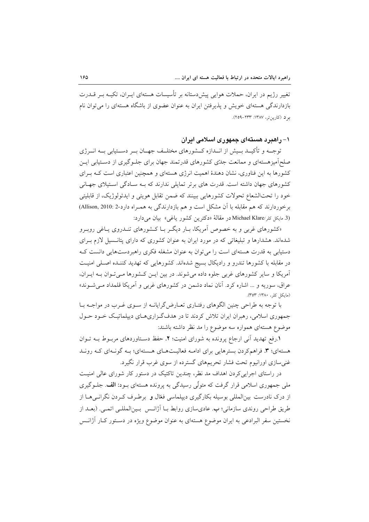تغییر رژیم در ایران، حملات هوایی پیشدستانه بر تأسیسات هستهای ایــران، تکیــه بــر قــدرت بازدارندگی هستهای خویش و پذیرفتن ایران به عنوان عضوی از باشگاه هستهای را می توان نام برد (کارپنتر، ۱۳۸۷: ۲۳۳–۲۵۹).

۱– راهبرد هستهای جمهوری اسلامی ایران

توجــه و تأكيــد بــيش از انــدازه كــشورهاي مختلــف جهــان بــر دســتيابي بــه انــرژي صلحآمیزهستهای و ممانعت جدّی کشورهای قدرتمند جهان برای جلـوگیری از دسـتیابی ایــن کشورها به این فناوری، نشان دهندهٔ اهمیت انرژی هستهای و همچنین اعتباری است کـه بـرای کشورهای جهان داشته است. قدرت های برتر تمایلی ندارند که بـه سـادگی اسـتیلای جهـانی خود را تحت|لشعاع تحولات كشورهايي ببينند كه ضمن تقابل هويتي و ايدئولوژيک، از قابليتي برخوردارند که هم مقابله با آن مشکل است و هم بازدارندگی به همـراه دارد-2 :Allison, 2010 (3. مايكل كلر/Michael Klare در مقالة «دكترين كشور ياغي» بيان مي دارد:

«کشورهای غربی و به خصوص آمریکا، بـار دیگـر بـا کـشورهای تنـدروی یـاغی روبـرو شدهاند. هشدارها و تبلیغاتی که در مورد ایران به عنوان کشوری که دارای پتانسیل لازم بـرای دستیابی به قدرت هستهای است را می توان به عنوان مشغله فکری راهبردستهایی دانست ک در مقابله با کشورها تندرو و رادیکال بسیج شدهاند. کشورهایی که تهدید کننـده اصـلی امنیـت آمریکا و سایر کشورهای غربی جلوه داده میشوند. در بین ایــن کـشورها مــیتـوان بــه ایــران، عراق، سوریه و … اشاره کرد. آنان نماد دشمن در کشورهای غربی و آمریکا قلمداد مـیشـوند» (مايكل كلر، ١٣٨٠: ٣٥٣).

با توجه به طراحی چنین الگوهای رفتـاری تعـارض گرایانــه از ســوی غــرب در مواجــه بــا جمهوری اسلامی، رهبران ایران تلاش کردند تا در هدفگزاریهـای دیپلماتیـک خـود حـول موضوع هستهای همواره سه موضوع را مد نظر داشته باشند:

۱.رفع تهدید آنی ارجاع پرونده به شورای امنیت؛ ۲. حفظ دستاوردهای مربوط بـه تـوان هستهای؛ ۳. فراهم کردن بسترهایی برای ادامـه فعالیـتهـای هـستهای؛ بـه گونـهای کـه رونـد غني سازي اورانيوم تحت فشار تحريمهاي گسترده از سوي غرب قرار نگيرد.

در راستای اجرایی کردن اهداف مد نظر، چندین تاکتیک در دستور کار شورای عالی امنیت ملي جمهوري اسلامي قرار گرفت كه متولِّي رسيدگي به پرونده هستهاي بــود: **الف**. جلــوگيري از درک نادرست بین|لمللی بوسیله بکارگیری دیپلماسی فعّال و برطـرف کـردن نگرانـی هــا از طريق طراحي روندي سازماني؛ ب. عاديسازي روابط بــا اَژانــس بــينالمللــي اتمــي. (بعــد از نخستین سفر البرادعی به ایران موضوع هستهای به عنوان موضوع ویژه در دستور کـار آژانـس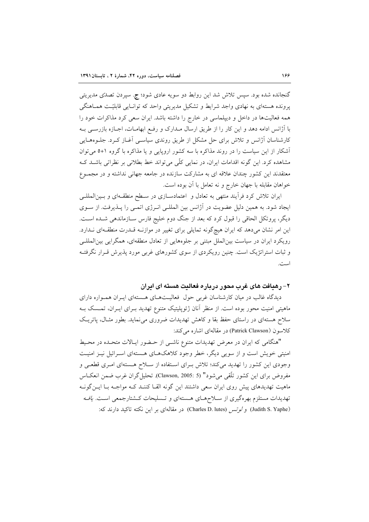گنجانده شده بود. سپس تلاش شد این روابط دو سویه عادی شود؛ ج. سپردن تصدکی مدیریتی پرونده هستهای به نهادی واجد شرایط و تشکیل مدیریتی واحد که توانایی قابلیّت همـاهنگی همه فعالیتها در داخل و دیپلماسی در خارج را داشته باشد. ایران سعی کرد مذاکرات خود را با آژانس ادامه دهد و این کار را از طریق ارسال مــدارک و رفــع ابهامــات، اجــازه بازرســی بــه کارشناسان آژانس و تلاش برای حل مشکل از طریق روندی سیاسبی آغـاز کـرد. جلــوهـایی آشکار از این سیاست را در روند مذاکره با سه کشور اروپایی و یا مذاکره با گروه ۱+۵ می توان مشاهده کرد. این گونه اقدامات ایران، در نمایی کلّی می تواند خط بطلانی بر نظراتی باشـد کـه معتقدند این کشور چندان علاقه ای به مشارکت سازنده در جامعه جهانی نداشته و در مجمـوع خواهان مقابله با جهان خارج و نه تعامل با آن بوده است.

ایران تلاش کرد فرآیند منتهی به تعادل و اعتمادسـازی در سـطح منطقـهای و بـینالمللـی ایجاد شود. به همین دلیل عضویت در آژانس بین المللـی انـرژی اتمـی را پــذیرفت. از ســوی دیگر، پروتکل الحاقی را قبول کرد که بعد از جنگ دوم خلیج فارس ســازماندهی شــده اســت. این امر نشان میدهد که ایران هیچگونه تمایلی برای تغییر در موازنـه قــدرت منطقــهای نــدارد. رویکرد ایران در سیاست بین|لملل مبتنی بر جلوههایی از تعادل منطقهای، همگرایی بین|لمللـی و ثبات استراتژیک است. چنین رویکردی از سوی کشورهای غربی مورد پذیرش قـرار نگرفتـه است.

۲– رهیافت های غرب محور درباره فعالیت هسته ای ایران

دیدگاه غالب در میان کارشناسان غربی حول فعالیتهای هستهای ایـران همـواره دارای ماهیتی امنیت محور بوده است. از منظر آنان ژئوپلیتیک متنوع تهدید بـرای ایـران، تمـسک بـه سلاح هستهای در راستای حفظ بقا و کاهش تهدیدات ضروری می نماید. بطور مثـال، پاتریـک كلاسون (Patrick Clawson) در مقالهاي اشاره مي كند:

"هنگامی که ایران در معرض تهدیدات متنوع ناشبی از حـضور ایـالات متحـده در محـیط امنیتی خویش است و از سویی دیگر، خطر وجود کلاهکهـای هـستهای اسـرائیل نیـز امنیـت وجودی این کشور را تهدید میکند؛ تلاش بـرای اسـتفاده از سـلاح هـستهای امـری قطعـی و مفروض براي اين كشور تلُّقي مي شود" (Clawson, 2005: 5). تحليل گران غرب ضمن انعكــاس ماهیت تهدیدهای پیش روی ایران سعی داشتند این گونه القـا کننـد کـه مواجـه بـا ایــن گونــه تهدیدات مستلزم بهرهگیری از سـلاحهـای هـستهای و تـسلیحات کـشتارجمعی اسـت. *یافـه* (Judith S. Yaphe) و *لوتس (Charles D. lutes*) در مقالهای بر این نکته تاکید دارند که: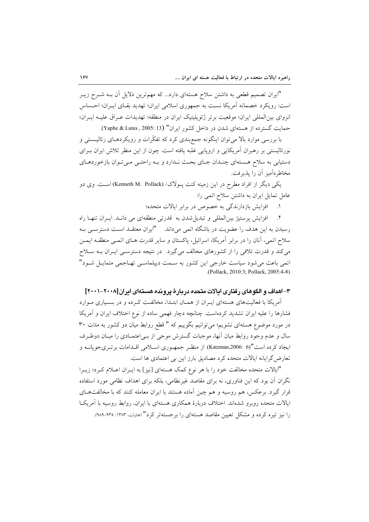"ایران تصمیم قطعی به داشتن سلاح هستهای دارد... که مهمترین دلایل آن بـه شــرح زیــر است: رویکرد خصمانه آمریکا نسبت به جمهوری اسلامی ایران؛ تهدید بقـای ایـران؛ احـساس انزوای بینالمللی ایران؛ موقعیت برتر ژئوپلیتیک ایران در منطقه؛ تهدیدات عـراق علیــه ایــران؛ حمایت گسترده از هستهای شدن در داخل کشور ایران" (Yaphe & Lutes , 2005: 13).

با بررسی موارد بالا میتوان اینگونه جمع بندی کرد که تفکّرات و رویکردهـای رئالیـستی و نورئالیستی بر رهبران آمریکایی و اروپایی غلبه یافته است. چون از این منظر تلاش ایران بـرای دستیابی به سلاح هستهای چنـدان جـای بحـث نـدارد و بـه راحتـی مـی تـوان بازخوردهـای مخاطرهآمیز آن را پذیرفت.

یکی دیگر از افراد مطرح در این زمینه کنت پـولاک/ (Kenneth M. Pollack) اسـت. وی دو عامل تمایل ایران به داشتن سلاح اتمی را:

١. افزايش بازدارندگي به خصوص در برابر ايالات متحده؛

افزایش پرستیژ بین المللی و تبدیل شدن به قدرتی منطقهای می دانـد. ایـران تنهـا راه  $\cdot$   $\cdot$ رسیدن به این هدف را عضویت در باشگاه اتمی میداند. "ایران معتقـد اسـت دسترسـی بـه سلاح اتمی، آنان را در برابر آمریکا، اسرائیل، پاکستان و سایر قدرت هـای اتمـی منطقـه ایمـن می کند و قدرت تلافی را از کشورهای مخالف میگیرد. در نتیجه دسترسـی ایـران بـه سـلاح اتمی باعث می شود سیاست خارجی این کشور به سـمت دیپلماسـی تهـاجمی متمایـل شـود" .(Pollack, 2010:3; Pollack, 2005:4-8)

# ۳– اهداف و الگوهای رفتاری ایالات متحده دربارهٔ پرونده هستهای ایران[۲۰۰۸–۲۰۰۱]

آمریکا با فعالیتهای هستهای ایـران از همـان ابتـدا، مخالفـت کـرده و در بـسیاری مـوارد فشارها را علیه ایران تشدید کردهاست. چنانچه دچار فهمی ساده از نوع اختلاف ایران و آمریکا در مورد موضوع هستهای نشویم؛ می توانیم بگوییم که " قطع روابط میان دو کشور به مدت ۳۰ سال و عدم وجود روابط میان آنها، موجبات گسترش موجی از بے اعتمـادی را میـان دوطـرف ایجاد کرده است"(Katzman,2006: 6). از منظـر جمهـوری اسـلامی اقــدامات برتـریجویانــه و تعارض گرایانه ایالات متحده کرد مصادیق بارز این بی اعتمادی ها است.

"ایالات متحده مخالفت خود را با هر نوع کمک هستهای [نیز] به ایـران اعـلام کـرد؛ زیـرا نگران آن بود که این فناوری، نه برای مقاصد غیرنظامی، بلکه برای اهداف نظامی مورد استفاده قرار گیرد. برعکس، هم روسیه و هم چین آماده هستند با ایران معامله کنند که با مخالفتهای ایالات متحده روبرو شدهاند. اختلاف دربارهٔ همکاری هستهای با ایران، روابط روسیه با آمریکا را نیز تیره کرده و مشکل تعیین مقاصد هستهای را برجستهتر کرد" (هاولت، ۱۳۸۳: ۹۳۵-۹۸۹).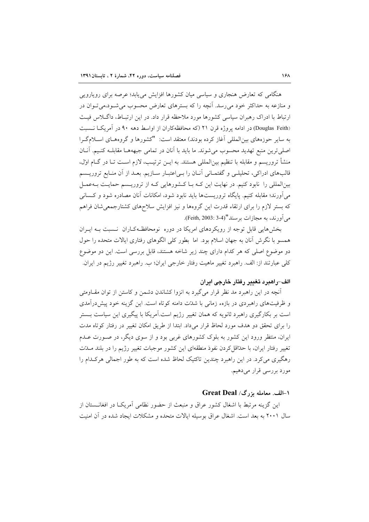هنگامی که تعارض هنجاری و سیاسی میان کشورها افزایش می پابد؛ عرصه برای رویارویی و منازعه به حداکثر خود می رسد. آنچه را که بسترهای تعارض محسوب می شـود،می تـوان در ارتباط با ادراک رهبران سیاسی کشورها مورد ملاحظه قرار داد. در این ارتبـاط، داگـلاس فیـث (Douglas Feith) در ادامه یروژه قرن ۲۱ (که محافظهکاران از اواسط دهه ۹۰ در آمریک) نسبت به سایر حوزههای بین|لمللی آغاز کرده بودند) معتقد است: "کشورها و گروههـای اسـلامگـرا اصلي ترين منبع تهديد محسوب مي شوند. ما بايد با آنان در تمامي جبهههـا مقابلـه كنـيم. آنـان منشأ تروریسم و مقابله با تنظیم بینالمللی هستند. به ایــن ترتیـب، لازم اســت تــا در گــام اوّل، قالبِهای ادراکی، تحلیلے و گفتمـانی آنـان را بـی|عتبـار سـازیم. بعـد از آن منـابع تروریــسم بینالمللی را نابود کنیم. در نهایت این کـه بـا کـشورهایی کـه از تروریـسم حمایـت بـهعمـل می آورند؛ مقابله کنیم. پایگاه تروریستها باید نابود شود، امکانات آنان مصادره شود و کسانی که بستر لازم را برای ارتقاء قدرت این گروهها و نیز افزایش سلاحهای کشتارجمعی شان فراهم مي آورند، به مجازات برسند"(Feith, 2003: 3-4).

بخش هایی قابل توجه از رویکردهای امریکا در دوره نومحافظهکاران نسبت بـه ایـران همسو با نگرش آنان به جهان اسلام بود. اما بطور کلی الگوهای رفتاری ایالات متحده را حول دو موضوع اصلی که هر کدام دارای چند زیر شاخه هستند، قابل بررسی است. این دو موضوع کلی عبارتند از: الف. راهبرد تغییر ماهیت رفتار خارجی ایران؛ ب. راهبرد تغییر رژیم در ایران.

#### الف–راهبرد تغيير رفتار خارجي ايران

آنچه در این راهبرد مد نظر قرار میگیرد به انزوا کشاندن دشمن و کاستن از توان مقـاومتی و ظرفیتهای راهبردی در بازهء زمانی با شدّت دامنه کو تاه است. این گزینه خود پیش درآمدی است بر بکارگیری راهبرد ثانویه که همان تغییر رژیم است.آمریکا با پیگیری این سیاست بــستر را برای تحقق دو هدف مورد لحاظ قرار میداد. ابتدا از طریق امکان تغییر در رفتار کوتاه مدت ایران، منتظر ورود این کشور به بلوک کشورهای غربی بود و از سوی دیگر، در صـورت عــدم تغییر رفتار ایران، با حدّاقل کردن نفوذ منطقهای این کشور موجبات تغییر رژیم را در بلند مــدّت رهگیری می کرد. در این راهبرد چندین تاکتیک لحاظ شده است که به طور اجمالی هرکـدام را مورد بررسي قرار ميدهيم.

#### ا –الف. معامله بزرگ/ Great Deal

این گزینه مرتبط با اشغال کشور عراق و منبعث از حضور نظامی آمریکـا در افغانــستان از سال ۲۰۰۱ به بعد است. اشغال عراق بوسیله ایالات متحده و مشکلات ایجاد شده در آن امنیت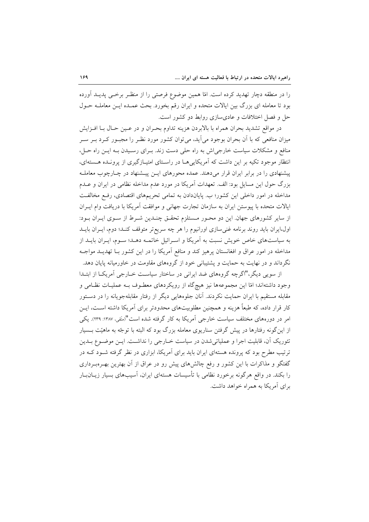را در منطقه دچار تهدید کرده است. امّا همین موضوع فرصتی را از منظـر برخــی پدیــد آورده بود تا معامله ای بزرگ بین ایالات متحده و ایران رقم بخورد. بحث عمـده ایــن معاملــه حــول حل و فصل اختلافات و عادی سازی روابط دو کشور است.

در مواقع تشدید بحران همراه با بالابردن هزینه تداوم بحـران و در عـین حـال بـا افـزایش میزان منافعی که با آن بحران بوجود می[ید، میتوان کشور مورد نظـر را مجبـور کـرد بـر سـر منافع و مشکلات سیاست خارجی اش به راه حلی دست زند. بـرای رسـیدن بـه ایـن راه حـل، انتظار موجود تکیه بر این داشت که آمریکایی هـا در راسـتای امتیـازگیری از پرونـده هـستهای، پیشنهادی را در برابر ایران قرار میدهند. عمده محورهای ایــن پیــشنهاد در چــارچوب معاملــه بزرگ حول این مسایل بود: الف. تعهدات آمریکا در مورد عدم مداخله نظامی در ایران و عــدم مداخله در امور داخلی این کشور؛ ب. پایاندادن به تمامی تحریمهای اقتصادی، رفع مخالفت ايالات متحده با پيوستن ايران به سازمان تجارت جهاني و موافقت آمريكا با دريافت وام ايـران از سایر کشورهای جهان. این دو محـور مـستلزم تحقـق چنـدین شـرط از سـوی ایـران بـود: اول،ایران باید روند برنامه غنی سازی اورانیوم را هر چه سریعتر متوقف کنـد؛ دوم، ایــران بایــد به سیاستهای خاص خویش نسبت به آمریکا و اسـرائیل خاتمـه دهـد؛ سـوم، ایـران بایــد از مداخله در امور عراق و افغانستان پرهیز کند و منافع آمریکا را در این کشور بـا تهدیــد مواجــه نگرداند و در نهایت به حمایت و پشتیبانی خود از گروههای مقاومت در خاورمیانه پایان دهد.

از سویی دیگر،"اگرچه گروههای ضد ایرانی در ساختار سیاست خـارجی آمریکـا از ابتـدا وجود داشتهاند؛ امّا این مجموعهها نیز هیچگاه از رویکردهای معطـوف بـه عملیــات نظــامی و مقابله مستقيم با ايران حمايت نكردند. آنان جلوههايي ديگر از رفتار مقابلهجويانه را در دسـتور کار قرار داده، که طبعاً هزینه و همچنین مطلوبیتهای محدودتر برای آمریکا داشته اسـت، ایــن امر در دورههای مختلف سیاست خارجی آمریکا به کار گرفته شده است"(متّقی، ۱۳۸۷: ۲۳۹). یکی از اینگونه رفتارها در پیش گرفتن سناریوی معامله بزرگ بود که البته با توجّه به ماهیّت بـسیار تئوریک آن، قابلیت اجرا و عملیاتی شدن در سیاست خـارجی را نداشـت. ایــن موضــوع بــدین ترتیب مطرح بود که پرونده هستهای ایران باید برای آمریکا، ابزاری در نظر گرفته شـود کـه در گفتگو و مذاکرات با این کشور و رفع چالش های پیش رو در عراق از آن بهترین بهـرەبـرداری را بکند. در واقع هرگونه برخورد نظامی با تأسیسات هستهای ایران، آسیبهای بسیار زیـانبـار برای آمریکا به همراه خواهد داشت.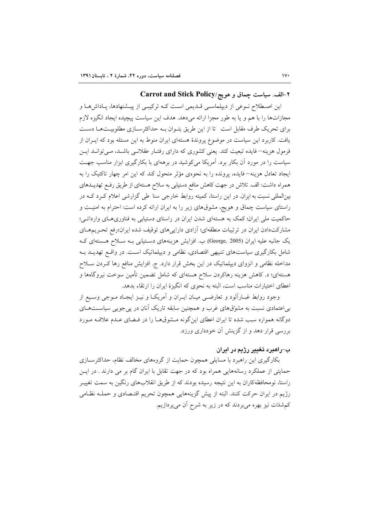# ۲–الف. سیاست چماق و هویج/Carrot and Stick Policy

این اصـطلاح نــوعی از دیپلماســی قــدیمی اســت کــه ترکیبــی از پیــشنهادها، پــاداش۱مــا و مجازاتها را با هم و يا به طور مجزا ارائه مىدهد. هدف اين سياست پيچيده ايجاد انگيزه لازم برای تحریک طرف مقابل است تا از این طریق بتـوان بـه حداکثرسـازی مطلوبیـتهـا دسـت یافت. کاربرد این سیاست در موضوع پروندهٔ هستهای ایران منوط به این مسئله بود که ایـران از فرمول هزینه–فایده تبعیت کند. یعنی کشوری که دارای رفتـار عقلانـی باشـد، مـی توانـد ایـن سیاست را در مورد آن بکار برد. آمریکا می کوشید در برههای با بکارگیری ابزار مناسب جهت ایجاد تعادل هزینه—فایده، پرونده را به نحوهی مؤثر متحول کند که این امر چهار تاکتیک را به همراه داشت: الف. تلاش در جهت کاهش منافع دستیابی به سلاح هستهای از طریق رفع تهدیــدهای بینالمللی نسبت به ایران. در این راستا، کمیته روابط خارجی سنا طی گزارشی اعلام کـرد کــه در راستای سیاست چماق و هویج، مشوقهای زیر را به ایران ارائه کرده است: احترام به امنیت و حاکمیت ملی ایران؛ کمک به هستهای شدن ایران در راستای دستیابی به فناوریهای وارداتی؛ مشارکتدادن ایران در ترتیبات منطقهای؛ آزادی داراییهای توقیف شده ایران؛رفع تحـریمهـای یک جانبه علیه ایران (George, 2005) ب. افزایش هزینههای دستیابی بـه سـلاح هـستهای کـه شامل بکارگیری سیاستهای تنبیهی اقتصادی، نظامی و دیپلماتیک است. در واقع تهدیــد بــه مداخله نظامی و انزوای دیپلماتیک در این بخش قرار دارد. ج. افزایش منافع رها کـردن ســلاح هستهای؛ د. کاهش هزینه رهاکردن سلاح هستهای که شامل تضمین تأمین سوخت نیروگاهها و اعطای اختیارات مناسب است، البته به نحوی که انگیزهٔ ایران را ارتقاء بدهد.

وجود روابط غبـارآلود و تعارضـي ميـان ايـران و آمريكـا و نيـز ايجـاد مـوجى وسـيع از بر اعتمادی نسبت به مشورّتهای غرب و همچنین سابقه تاریک آنان در پی جویی سیاسـتهـای دوگانه همواره سبب شده تا ایران اعطای اینگونه مشوقها را در فـضای عـدم علاقـه مـورد بررسی قرار دهد و از گزینش آن خودداری ورزد.

## ب–راهبرد تغییر رژیم در ایران

بکارگیری این راهبرد با مسایلی همچون حمایت از گروههای مخالف نظام، حداکثرسـازی حمایتی از عملکرد رسانههایی همراه بود که در جهت تقابل با ایران گام بر می دارند . در ایـن راستا، نومحافظهکاران به این نتیجه رسیده بودند که از طریق انقلابهای رنگین به سمت تغییــر رژیم در ایران حرکت کنند. البته از پیش گزینههایی همچون تحریم اقتـصادی و حملــه نظـامی کمشدّت نیز بهره میبردند که در زیر به شرح آن میپردازیم.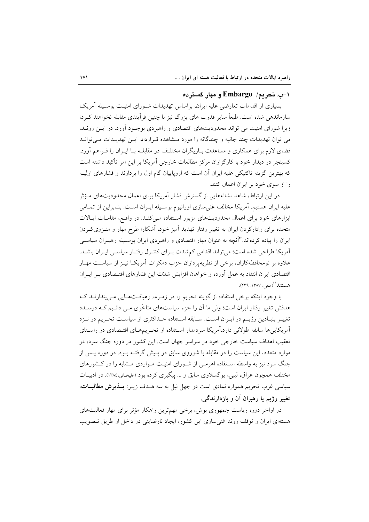#### ۱–ب. تحریم/ Embargo و مهار گسترده

بسیاری از اقدامات تعارضی علیه ایران، براساس تهدیدات شـورای امنیـت بوسـیله آمریکـا سازماندهی شده است. طبعاً سایر قدرت های بزرگ نیز با چنین فرآیندی مقابله نخواهند کـرد؛ زیرا شورای امنیت می تواند محدودیتهای اقتصادی و راهبردی بوجـود آورد. در ایــن رونــد، می توان تهدیدات چند جانبه و چندگانه را مورد مـشاهده قـرارداد. ایــن تهدیــدات مــی توانــد فضای لازم برای همکاری و مساعدت بـازیگران مختلـف در مقابلـه بـا ایـران را فـراهم آورد. کسینجر در دیدار خود با کارگزاران مرکز مطالعات خارجی آمریکا بر این امر تأکید داشته است که بهترین گزینه تاکتیکی علیه ایران آن است که اروپاییان گام اول را بردارند و فشارهای اولیـه را از سوی خود بر ایران اعمال کنند.

در این ارتباط، شاهد نشانههایی از گسترش فشار آمریکا برای اعمال محدودیتهای مـؤثر عليه ايران هستيم. آمريكا مخالف غنىسازى اورانيوم بوسـيله ايـران اسـت. بنـابراين از تمـامى ابزارهای خود برای اعمال محدودیتهای مزبور استفاده مـیکنـد. در واقـع، مقامـات ایـالات متحده برای وادارکردن ایران به تغییر رفتار تهدید آمیز خود، آشکارا طرح مهار و منـزویکـردن ایران را پیاده کردهاند."آنچه به عنوان مهار اقتصادی و راهبردی ایران بوسـیله رهبـران سیاســی آمریکا طراحی شده است؛ می تواند اقدامی کمشدت بـرای کنتـرل رفتـار سیاسـی ایـران باشـد. علاوه بر نومحافظهکاران، برخی از نظریهپردازان حزب دمکرات آمریکـا نیــز از سیاســت مهــار اقتصادی ایران انتقاد به عمل آورده و خواهان افزایش شدّت این فشارهای اقتـصادی بـر ایـران هستند"(متقى، ١٣٨٧: ٢٣٩).

با وجود اینکه برخی استفاده از گزینه تحریم را در زمـرهء رهیافـتهـایی مـی،پندارنــد کـه هدفش تغییر رفتار ایران است؛ ولی ما آن را جزء سیاستهای متاخّری مـی دانـیم کـه درسـدد تغییر بنیادین رژیـم در ایـران اسـت. سـابقه اسـتفاده حـداکثری از سیاسـت تحـریم در نــزد آمریکاییها سابقه طولانی دارد.آمریکا سردمدار استفاده از تحریمهای اقتـصادی در راسـتای تعقیب اهداف سیاست خارجی خود در سراسر جهان است. این کشور در دوره جنگ سرد، در موارد متعدد، این سیاست را در مقابله با شوروی سابق در پـیش گرفتـه بـود. در دوره پــس از جنگ سرد نیز به واسطه استفاده اهرمـی از شـورای امنیـت مـواردی مـشابه را در کـشورهای مختلف همچون عراق، لیبی، یوگسلاوی سابق و ... پیگیری کرده بود (علیخانی،۱۳۸٤). در ادبیـات سیاسی غرب تحریم همواره نمادی است در جهل نیل به سه هـلف زیــر: **یــذیرش مطالبــات**، تغییر رژیم یا رهبران آن و بازدارندگی.

در اواخر دوره ریاست جمهوری بوش، برخی مهم ترین راهکار مؤثر برای مهار فعالیتهای هستهای ایران و توقف روند غنی سازی این کشور، ایجاد نارضایتی در داخل از طریق تـصویب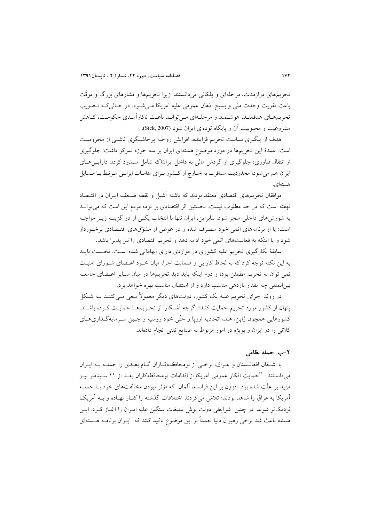تحریمهای درازمدت، مرحلهای و پلکانی میدانستند. زیرا تحریمها و فشارهای بزرگ و موقّت باعث تقویت وحدت ملی و بسیج اذهان عمومی علیه آمریکا مـیشـود. در حـالی کـه تـصویب تحریمهای هدفمنـد، هوشـمند و مرحلـهای مـی توانـد باعـث ناكارآمـدی حكومـت، كـاهش مشروعیت و محبوبیت آن و پایگاه تودهای ایران شود (Sick, 2007).

هدف از پیگیری سیاست تحریم فزاینده، افزایش روحیه پرخاشگری ناشبی از محرومیت است. عمدهٔ این تحریمها در مورد موضوع هستهای ایران بر سه حوزه تمرکز داشت: جلوگیری از انتقال فناوری؛ جلوگیری از گردش مالی به داخل ایران(که شامل مسدود کردن دارایـیهـای ایران هم می شود؛ محدودیت مسافرت به خـارج از کـشور بـرای مقامـات ایرانـی مـرتبط بـا مـسایل هستهای.

موافقان تحریمهای اقتصادی معتقد بودند که پاشنه آشیل و نقطه ضـعف ایـران در اقتـصاد نهفته است که در حد مطلوب نیست. نخستین اثر اقتصادی بر توده مردم این است که می توانـد به شورشهای داخلی منجر شود. بنابراین، ایران تنها با انتخاب یکسی از دو گزینــه زیــر مواجــه است: یا از برنامههای اتمی خود منصرف شده و در عوض از مشوّقهای اقتـصادی برخـوردار شود و یا اینکه به فعالیتهای اتمی خود ادامه دهد و تحریم اقتصادی را نیز پذیرا باشد.

سابقهٔ بکارگیری تحریم علیه کشوری در مواردی دارای ابهاماتی شده است. نخـست بایــد به این نکته توجه کرد که به لحاظ کارایی و ضمانت اجرا، میان خـود اعـضای شـورای امنیـت نمی توان به تحریم مطمئن بود؛ و دوم اینکه باید دید تحریمها در میان سـایر اعـضای جامعـه بینالمللی چه مقدار بازدهی مناسب دارد و از استقبال مناسب بهره خواهد برد.

در روند اجرای تحریم علیه یک کشور، دولتهای دیگر معمولاً سعی مـی کننـد بــه شـکل پنهان از کشور مورد تحریم حمایت کنند؛ اگرچه آشکارا از تحـریمهــا حمایــت کـرده باشــند. کشورهایی همچون ژاپن، هند، اتحادیه اروپا و حتّی خود روسیه و چـین سـرمایهگـذاریهــای كلاني را در ايران و بويژه در امور مربوط به صنايع نفتي انجام دادهاند.

## ٢-ب. حمله نظامی

با اشـغال افغانــستان و عـراق، برخــي از نومحافظـهکـاران گــام بعــدي را حملــه بــه ايــران میدانستند. "حمایت افکار عمومی آمریکا از اقدامات نومحافظهکاران بعـد از ۱۱ سـپتامبر نیـز مزید بر علَّت شده بود. افزون بر این فرانسه، آلمان که مؤثر نبودن مخالفتهای خود بــا حملــه آمریکا به عراق را شاهد بودند؛ تلاش می کردند اختلافات گذشته را کنــار نهــاده و بــه آمریکــا نزدیکتر شوند. در چنین شرایطی دولت بوش تبلیغات سنگین علیه ایـران را آغــاز کــرد. ایــن مسئله باعث شد برخی رهبران دنیا تعمداً بر این موضوع تاکید کنند که ایــران برنامــه هــستهای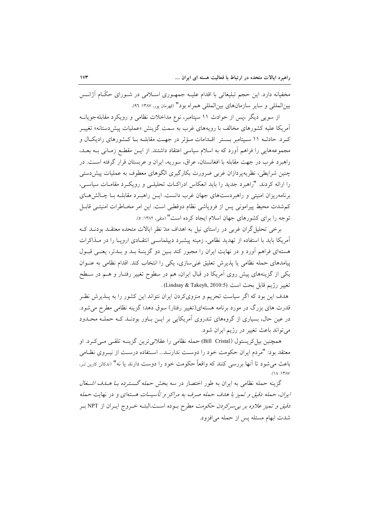مخفیانه دارد. این حجم تبلیغاتی با اقدام علیـه جمهـوری اسـلامی در شـورای حکّـام آژانـس بين|لمللي و ساير سازمانهاي بين|لمللي همراه بود" (قهرمان يور، ١٣٨٧: ٩٦).

از سویی دیگر ،پس از حوادث ۱۱ سپتامبر، نوع مداخلات نظامی و رویکرد مقابلهجویانــه آمریکا علیه کشورهای مخالف با رویههای غرب به سمت گزینش «عملیات پیشcستانه» تغییــر کرد. حادثــه ۱۱ ســیتامبر بــستر اقــدامات مــؤثر در جهــت مقابلــه بــا کــشورهای رادیکــال و مجموعههایی را فراهم آورد که به اسلام سیاسی اعتقاد داشتند. از ایـن مقطـع زمـانی بـه بعـد، راهبرد غرب در جهت مقابله با افغانستان، عراق، سوریه، ایران و عربستان قرار گرفته است. در چنین شرایطی، نظریه پر دازان غربی ضرورت بکارگیری الگوهای معطوف به عملیات پیش دستی را ارائه کردند. "راهبرد جدید را باید انعکاس ادراکـات تحلیلـی و رویکـرد مقامـات سیاسـی، برنامهریزان امنیتی و راهبردستهای جهان غرب دانست. ایـن راهبـرد مقابلـه بـا چـالش هـای كم شدت محيط پيراموني پس از فروياشي نظام دوقطبي است. اين امر مخــاطرات امنيتــي قابــل توجه را برای کشورهای جهان اسلام ایجاد کرده است" (متفی، ۱۳۸۲: ه).

برخی تحلیل گران غربی در راستای نیل به اهداف مدّ نظر ایالات متحده معتقـد بودنـد کـه آمریکا باید با استفاده از تهدید نظامی، زمینه پیشبرد دیپلماسـی انتقـادی اروپـا را در مـذاکرات هستهای فراهم آورد و در نهایت ایران را مجبور کند بـین دو گزینـهٔ بـد و بـدتر، یعنـی قبـول پیامدهای حمله نظامی یا پذیرش تعلیق غنی سازی، یکی را انتخاب کند. اقدام نظامی به عنـوان یکی از گزینههای پیش روی اَمریکا در قبال ایران، هم در سطوح تغییر رفتـار و هــم در سـطح تغيير رژيم قابل بحث است (Lindsay & Takeyh, 2010:5).

هدف این بود که اگر سیاست تحریم و منزویکردن ایران نتواند این کشور را به پــذیرش نظـر قدرت های بزرگ در مورد برنامه هستهای(تغییر رفتار) سوق دهد؛ گزینه نظامی مطرح میشود. در عین حال، بسیاری از گروههای تندروی آمریکایی بر ایـن بـاور بودنـد کـه حملـه محـدود مي تواند باعث تغيير در رژيم ايران شود.

همچنین بیل کریستول (Bill Cristal) حمله نظامی را عقلانی ترین گزینـه تلقـی مـی کـرد. او معتقد بود: "مردم ايران حكومت خود را دوست ندارنـد... اسـتفاده درسـت از نيـروى نظـامى باعث می شود تا آنها بررسی کنند که واقعاً حکومت خود را دوست دارند یا نه" (تدکان کارین تبر،  $(1A.1YAY$ 

گزینه حمله نظامی به ایران به طور اختصار در سه بخش *حمله گسترده بـا هـلـف اشـغال* ایران، حمله دقیق و تمیز با هدف حمله صرف به مراکز و تأسیسات هستهای و در نهایت حمله دقیق و تمیز علا*وه بر بی سرکردن حکومت م*طرح بـوده اسـت.البتـه خـروج ایـران از NPT بـر شدت ابهام مسئله يس از حمله مي افزود.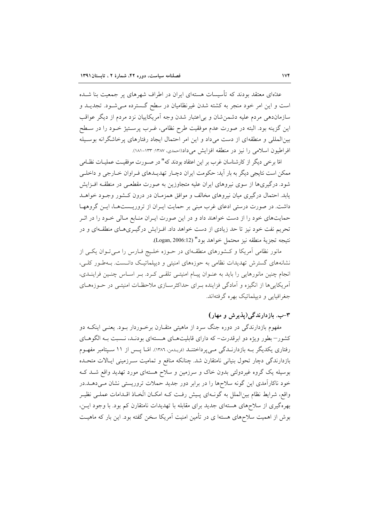عدَّمای معتقد بودند که تأسیسات هستهای ایران در اطراف شهرهای پر جمعیت بنا شــده است و این امر خود منجر به کشته شدن غیرنظامیان در سطح گسترده مـی شـود. تجدیــد و سازماندهی مردم علیه دشمن شان و بی|عتبار شدن وجه اَمریکاییان نزد مردم از دیگر عواقب این گزینه بود. البته در صورت عدم موفقیت طرح نظامی، غــرب پرســتیژ خــود را در ســطح بینالمللی و منطقهای از دست میداد و این امر احتمال ایجاد رفتارهای پرخاشگرانه بوسـیله افراطيون اسلامي را نيز در منطقه افزايش مي داد(احمدي، ١٣٨٧: ١٣٣-١٨١).

امًا برخي ديگر از كارشناسان غرب بر اين اعتقاد بودند كه" در صـورت موفقيـت عمليـات نظـامي ممکن است نتایجی دیگر به بار آید: حکومت ایران دچـار تهدیــدهای فـراوان خــارجی و داخلــی شود. درگیریها از سوی نیروهای ایران علیه متجاوزین به صورت مقطعـی در منطقــه افــزایش یابد. احتمال درگیری میان نیروهای مخالف و موافق همزمـان در درون کـشور وجـود خواهــد داشت. در صورت درستی ادعای غرب مبنی بر حمایت ایـران از تروریـستهـا، ایـن گروههـا حمایتهای خود را از دست خواهند داد و در این صورت ایـران منـابع مـالی خـود را در اثـر تحریم نفت خود نیز تا حد زیادی از دست خواهد داد. افـزایش درگیـری،هـای منطقـهای و در نتيجه تجزية منطقه نيز محتمل خواهد بود" (Logan, 2006:12).

مانور نظامی آمریکا و کـشورهای منطقـهای در حــوزه خلــیج فــارس را مــیتــوان یکــی از نشانههای گسترش تهدیدات نظامی به حوزههای امنیتی و دیپلماتیک دانست. بـهطـور کلـی، انجام چنین مانورهایی را باید به عنوان پیـام امنیتـی تلقـی کـرد. بـر اسـاس چنـین فراینـدی، آمریکاییها از انگیزه و آمادگی فزاینده بـرای حداکثرسـازی ملاحظـات امنیتـی در حـوزههـای جغرافیایی و دیپلماتیک بھرہ گرفتهاند.

# $($ ب بازدارندگی(پذیرش و مهار)

مفهوم بازدارندگی در دوره جنگ سرد از ماهیتی متقـارن برخـوردار بـود. یعنـی اینکـه دو کشور–بطور ویژه دو ابرقدرت– که دارای قابلیتهـای هـستهای بودنـد، نـسبت بـه الگوهـای رفتاری یکدیگر بـه بازدارنـدگی مـی یرداختنـد (فریـدمن، ۱۳۸۲). امّـا پـس از ۱۱ سـیتامبر مفهـوم بازدارندگی دچار تحول بنیانی نامتقارن شد. چنانکه منافع و تمامیت سـرزمینی ایـالات متحـده بوسیله یک گروه غیردولتی بدون خاک و سرزمین و سلاح هستهای مورد تهدید واقع شــد کــه خود ناکارآمدی این گونه سلاحها را در برابر دور جدید حملات تروریستی نشان مـی۱هــدر واقع، شرایط نظام بین|لملل به گونـهای پـیش رفـت کـه امکـان اتّخـاذ اقـدامات عملـی نظیـر بهرهگیری از سلاحهای هستهای جدید برای مقابله با تهدیدات نامتقارن کم بود. با وجود ایـن، بوش از اهمیت سلاحهای هستها ی در تأمین امنیت آمریکا سخن گفته بود. این بار که ماهیـت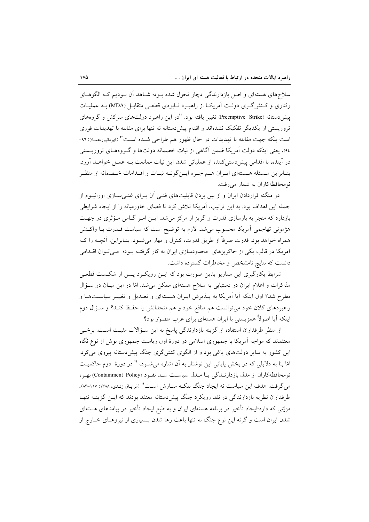سلاحهای هستهای و اصل بازدارندگی دچار تحول شده بـود؛ شـاهد اّن بـودیم کـه الگوهـای رفتاری و کـنش گـری دولـت آمریکـا از راهبـرد نــابودی قطعــی متقابــل (MDA) بــه عمليــات پیش دستانه (Preemptive Strike) تغییر یافته بود. "در این راهبرد دولتهای سرکش و گروههای تروریستی از یکدیگر تفکیک نشدهاند و اقدام پیش دستانه نه تنها برای مقابله با تهدیدات فوری است بلكه جهت مقابله با تهديدات در حال ظهور هم طراحي شــده اســت" (قهرمانپور،همــان: ٩٦-۹٤). یعنی اینکه دولت اَمریکا ضمن اَگاهی از نیات خصمانه دولتها و گـروههـای تروریــستی در آینده، با اقدامی پیشدستی کننده از عملیاتی شدن این نیات ممانعت بـه عمـل خواهـد آورد. بنــابراين مــسئله هــستهاى ايــران هــم جــزء ايــن&نــه نيــات و اقــدامات خــصمانه از منظــر نومحافظه کاران به شمار می رفت.

در منگنه قراردادن ایران و از بین بردن قابلیتهای فنـی آن بـرای غنـیسـازی اورانیــوم از جمله این اهداف بود. به این ترتیب، آمریکا تلاش کرد تا فضای خاورمیانه را از ایجاد شرایطی بازدارد که منجر به بازسازی قدرت و گریز از مرکز میشد. ایـن امـر گـامی مـؤثری در جهـت هژمونی تهاجمی آمریکا محسوب می شد. لازم به توضیح است که سیاست قــدرت بـا واکـنش همراه خواهد بود. قدرت صرفاً از طریق قدرت، کنترل و مهار میشــود. بنــابراین، آنچــه را کــه آمریکا در قالب یکی از خاکریزهای محدودسازی ایران به کار گرفتـه بـود؛ مـیتوان اقـدامی دانست كه نتايج نامشخص و مخاطرات گسترده داشت.

شرایط بکارگیری این سناریو بدین صورت بود که ایـن رویکـرد پـس از شکـست قطعـی مذاکرات و اعلام ایران در دستیابی به سلاح هستهای ممکن میشد. امّا در این میـان دو سـؤال مطرح شد؟ اول اینکه آیا آمریکا به پــذیرش ایــران هــستهای و تعــدیل و تغییــر سیاســتهــا و راهبردهای کلان خود میتوانست هم منافع خود و هم متحدانش را حفـظ کنـد؟ و سـؤال دوم اینکه آیا اصولاً همزیستی با ایران هستهای برای غرب متصور بود؟

از منظر طرفداران استفاده از گزینه بازدارندگی پاسخ به این سـؤالات مثبـت اسـت. برخـی معتقدند که مواجه آمریکا با جمهوری اسلامی در دورهٔ اول ریاست جمهوری بوش از نوع نگاه این کشور به سایر دولتهای یاغی بود و از الگوی کنش گری جنگ پیش دستانه پیروی می کرد. امّا بنا به دلایلی که در بخش پایانی این نوشتار به آن اشاره می شـود، " در دورهٔ دوم حاکمیـت نومحافظه كاران از مدل بازدارنـدگی يـا مـدل سياسـت سـد نفـوذ (Containment Policy) بهـره می گرفت. هدف این سیاست نه ایجاد جنگ بلکـه سـازش اسـت" (غرابـاق زنـدي، ۱۳۸۸: ۱۱۷-۸۳). طرفداران نظریه بازدارندگی در نقد رویکرد جنگ پیش دستانه معتقد بودند که ایــن گزینــه تنهــا مزیّتی که دارد؛ایجاد تأخیر در برنامه هستهای ایران و به طبع ایجاد تأخیر در پیامدهای هستهای شدن ایران است و گرنه این نوع جنگ نه تنها باعث رها شدن بـسیاری از نیروهـای خــارج از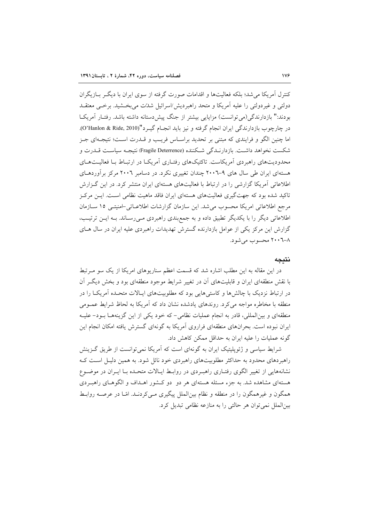کنترل اَمریکا می شد؛ بلکه فعالیتها و اقدامات صورت گرفته از سوی ایران با دیگـر بــازیگران دولتي و غير دولتي را عليه آمريكا و متحد راهبرديش/اسرائيل شدّت مي بخـشيد. برخــي معتقــد بودند:" بازدارندگی(می توانست) مزایایی بیشتر از جنگ پیش دستانه داشته باشد. رفتـار آمریکـا در چارچوب بازدارندگی ایران انجام گرفته و نیز باید انجـام گیـرد"(Hanlon & Ride, 2010). اما چنین الگو و فرایندی که مبتنی بر تحدید براسـاس فریـب و قــدرت اسـت؛ نتیجــهای جــز شكست نخواهد داشت. بازدارنـدگي شـكننده (Fragile Deterrence) نتيجـه سياسـت قــدرت و محدودیتهای راهبردی آمریکاست. تاکتیکهای رفتـاری آمریکـا در ارتبـاط بـا فعالیـتهـای هستهای ایران طی سال های ۹–۲۰۰۲ چندان تغییری نکرد. در دسامبر ۲۰۰۲ مرکز بر آوردهـای اطلاعاتی آمریکا گزارشی را در ارتباط با فعالیتهای هستهای ایران منتشر کرد. در این گـزارش تاکید شده بود که جهت گیری فعالیتهای هستهای ایران فاقد ماهیت نظامی اسـت. ایــن مرکــز مرجع اطلاعاتی امریکا محسوب می شد. این سازمان گزارشات اطلاعـاتی-امنیتـی ١٥ ســازمان اطلاعاتی دیگر را با یکدیگر تطبیق داده و به جمع بندی راهبردی مـی(ســاند. بــه ایــن ترتیــب، گزارش این مرکز یکی از عوامل بازدارنده گسترش تهدیدات راهبردی علیه ایران در سال هــای ٨-٢٠٠٦ محسوب مي شود.

#### نتىحە

در این مقاله به این مطلب اشاره شد که قسمت اعظم سناریوهای امریکا از یک سو مـرتبط با نقش منطقهای ایران و قابلیتهای آن در تغییر شرایط موجود منطقهای بود و بخش دیگـر آن در ارتباط نزدیک با چالش ها و کاستی هایی بود که مطلوبیتهای ایـالات متحـده آمریکـا را در منطقه با مخاطره مواجه می کرد. روندهای یادشده نشان داد که آمریکا به لحاظ شرایط عمـومی منطقهای و بین(لمللی، قادر به انجام عملیات نظامی- که خود یکی از این گزینههـا بـود- علیـه ایران نبوده است. بحرانهای منطقهای فراروی آمریکا به گونهای گسترش یافته امکان انجام این گونه عملیات را علیه ایران به حداقل ممکن کاهش داد.

شرایط سیاسی و ژئوپلیتیک ایران به گونهای است که آمریکا نمی توانست از طریق گـزینش راهبردهای محدود به حداکثر مطلوبیتهای راهبردی خود نائل شود. به همین دلیـل اسـت کـه نشانههایی از تغییر الگوی رفتـاری راهبـردی در روابـط ایـالات متحـده بـا ایــران در موضــوع هستهای مشاهده شد. به جزء مسئله هستهای هر دو ًدو کشور اهــداف و الگوهــای راهبــردی همگون و غیرهمگون را در منطقه و نظام بینالملل پیگیری مـیکردنـد. امّـا در عرصــه روابـط بين الملل نمي توان هر حالتي را به منازعه نظامي تبديل كرد.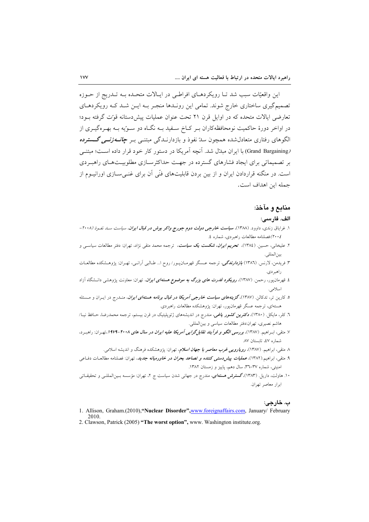این واقعیّات سبب شد تـا رویکردهـای افراطـی در ایـالات متحـده بـه تـدریج از حـوزه تصمیمگیری ساختاری خارج شوند. تمامی این رونـدها منجـر بـه ایـن شـد کـه رویکردهـای تعارضی ایالات متحده که در اوایل قرن ۲۱ تحت عنوان عملیات پیش دستانه قوت گرفته بود؛ در اواخر دورهٔ حاکمیت نومحافظهکاران بـر کـاخ سـفید بــه نگــاه دو ســوّیه بــه بهــرهگیــری از الگوهای رفتاری متعادل شده همچون سدّ نفوذ و بازدارنــدگی مبتنــی بــر <mark>حی*انــه زنـــی گــــ*سترده</mark> (Grand Bargaining) با ایران مبدّل شد. آنچه آمریکا در دستور کار خود قرار داده است؛ مبتنبی بر تصمیماتی برای ایجاد فشارهای گسترده در جهت حداکثرسیازی مطلوبیتهبای راهب دی است. در منگنه قراردادن ایران و از بین بردن قابلیتهای فنّی آن برای غنبی سـازی اورانیـوم از جمله اين اهداف است.

## منابع و مآخذ:

#### الف. فارسى:

- ۱. غرایاق زندی، داوود. (۱۳۸۸)، **سی***است خارجی دولت دوم جورج واکر بوش در قبال ایران، سیاست سـد نفـوذ (۲۰۰۸–* ٢٠٠٤)فصلنامه مطالعات راهبردي، شماره ٤.
- ۲. علیخانی، حسین. (۱۳۸٤)، تحریم *ایران، شکست یک سیاست*، ترجمه محمد متقی نژاد، تهران: دفتر مطالعات سیاس<sub>تی</sub> و بين المللي.
- ۳. فریدمن، لارنس. (۱۳۸٦) *بازدارندگی،* ترجمه عـسگر قهرمـان۱ور/روح ا… طـالب<sub>ی</sub> اَرانــی، تهـران: یژوهـشکده مطالعـات راهير دي.
- ٤. قهرمان،پور، رحمن. (١٣٨٧)، *رویکرد قدرت های بزرگ به موضوع هستهای ایران*، تهران: معاونت پژوهشی دانــشگاه آزاد اسلامي.
- ه. کارین تر، تدکالن. (۱۳۸۷)،گ**زینهها***ی سیاست خارجی آمریکا در قبال برنامه هستهای ایران***، منـدرج در ایـران و مــسئله** هستهای، ترجمه عسگر قهرمانپور، تهران: پژوهشکده مطالعات راهبردی.
- ٦. کلر، مایکل. (۱۳۸۰)، **دکتر***ین کشور یاغی،* مندرج در اندیشههای ژئوپلیتیک در قرن بیستم، ترجمه محمدرضا، حـافظ نیــا/ هاشم نصيري، تهران:دفتر مطالعات سياسي و بينالمللي.
- ۷. متقی، اب اهیم. (۱۳۸۷)، بور*سی الگو و فرآیند تقابل گرایی آمریکا علیه ایران در سال های ۲۰۰۸*-1*۹۷۹، ت*هران: راهب د، شماره ٤٧، تابستان ٨٧
	- ۸ متقی، ابراهیم. (۱۳۸۷)، *رویارویی غرب معاصر با جهان اسلام*، تهران: پژوهشکده فرهنگ و اندیشه اسلامی.
- ۹. متقی، ابراهیم.(۱۳۸۲)، *عملیات پیش(دستی کننده و تصاعد بحران در خاورمیانه جدید*، تهران: فصلنامه مطالعــات دفــاع<sub>ی</sub> امنیتی، شماره ۳۷–۳۲، سال دهم، پاییز و زمستان ۱۳۸۲.
- ۱۰. هاولت، داریل. (۱۳۸۳)،گستر*ش هستهای، مندرج در جهانی شدن سیاست ج* ۲، تهران: مؤسسه بـینالمللـی و تحقیقــاتی ابرار معاصر تھران.

#### ب. خارجي:

1. Allison, Graham.(2010), "Nuclear Disorder", www.foreignaffairs.com, January/ February 2010 2. Clawson, Patrick (2005) "The worst option", www. Washington institute.org.